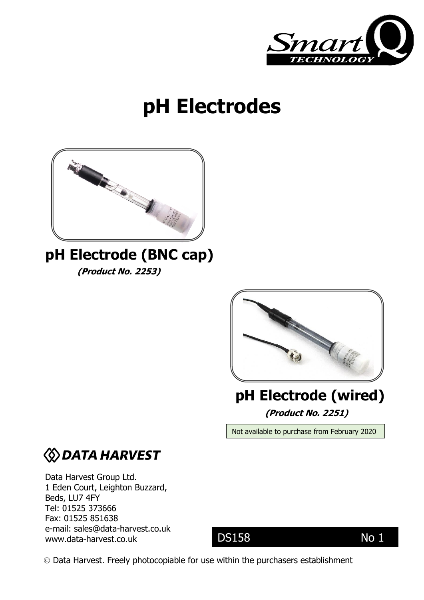

# **pH Electrodes**



# **pH Electrode (BNC cap)**

**(Product No. 2253)** 



## **(Product No. 2251) pH Electrode (wired)**

Not available to purchase from February 2020

# **WDATA HARVEST**

Data Harvest Group Ltd. 1 Eden Court, Leighton Buzzard, Beds, LU7 4FY Tel: 01525 373666 Fax: 01525 851638 e-mail: [sales@data-harvest.co.uk](mailto:sales@data-harvest.co.uk) www.data-harvest.co.uk

### DS158 No 1

Data Harvest. Freely photocopiable for use within the purchasers establishment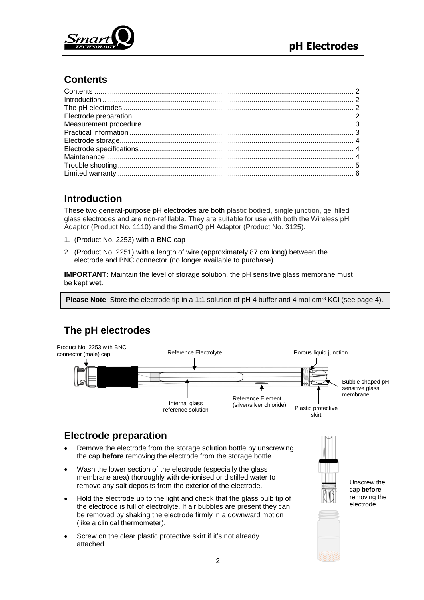

#### <span id="page-1-0"></span>**Contents**

#### <span id="page-1-1"></span>**Introduction**

These two general-purpose pH electrodes are both plastic bodied, single junction, gel filled glass electrodes and are non-refillable. They are suitable for use with both the Wireless pH Adaptor (Product No. 1110) and the SmartQ pH Adaptor (Product No. 3125).

- 1. (Product No. 2253) with a BNC cap
- 2. (Product No. 2251) with a length of wire (approximately 87 cm long) between the electrode and BNC connector (no longer available to purchase).

**IMPORTANT:** Maintain the level of storage solution, the pH sensitive glass membrane must be kept **wet**.

**Please Note**: Store the electrode tip in a 1:1 solution of pH 4 buffer and 4 mol dm-3 KCl (see [page 4\)](#page-3-0).

### <span id="page-1-2"></span>**The pH electrodes**



#### <span id="page-1-3"></span>**Electrode preparation**

- Remove the electrode from the storage solution bottle by unscrewing the cap **before** removing the electrode from the storage bottle.
- Wash the lower section of the electrode (especially the glass membrane area) thoroughly with de-ionised or distilled water to remove any salt deposits from the exterior of the electrode.
- Hold the electrode up to the light and check that the glass bulb tip of the electrode is full of electrolyte. If air bubbles are present they can be removed by shaking the electrode firmly in a downward motion (like a clinical thermometer).
- Screw on the clear plastic protective skirt if it's not already attached.



Unscrew the cap **before** removing the electrode

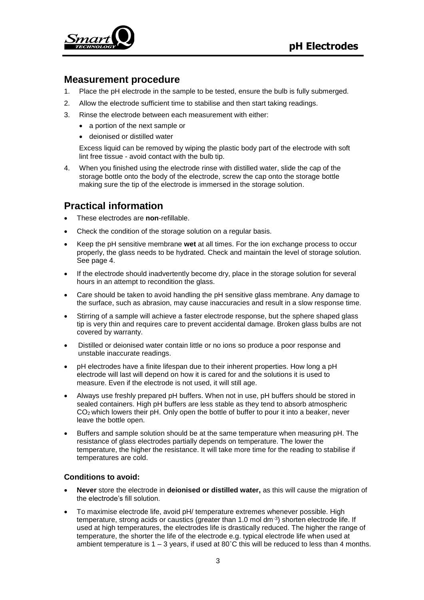

#### <span id="page-2-0"></span>**Measurement procedure**

- 1. Place the pH electrode in the sample to be tested, ensure the bulb is fully submerged.
- 2. Allow the electrode sufficient time to stabilise and then start taking readings.
- 3. Rinse the electrode between each measurement with either:
	- a portion of the next sample or
	- deionised or distilled water

Excess liquid can be removed by wiping the plastic body part of the electrode with soft lint free tissue - avoid contact with the bulb tip.

4. When you finished using the electrode rinse with distilled water, slide the cap of the storage bottle onto the body of the electrode, screw the cap onto the storage bottle making sure the tip of the electrode is immersed in the storage solution.

#### <span id="page-2-1"></span>**Practical information**

- These electrodes are **non**-refillable.
- Check the condition of the storage solution on a regular basis.
- Keep the pH sensitive membrane **wet** at all times. For the ion exchange process to occur properly, the glass needs to be hydrated. Check and maintain the level of storage solution. See [page 4.](#page-3-0)
- If the electrode should inadvertently become dry, place in the storage solution for several hours in an attempt to recondition the glass.
- Care should be taken to avoid handling the pH sensitive glass membrane. Any damage to the surface, such as abrasion, may cause inaccuracies and result in a slow response time.
- Stirring of a sample will achieve a faster electrode response, but the sphere shaped glass tip is very thin and requires care to prevent accidental damage. Broken glass bulbs are not covered by warranty.
- Distilled or deionised water contain little or no ions so produce a poor response and unstable inaccurate readings.
- pH electrodes have a finite lifespan due to their inherent properties. How long a pH electrode will last will depend on how it is cared for and the solutions it is used to measure. Even if the electrode is not used, it will still age.
- Always use freshly prepared pH buffers. When not in use, pH buffers should be stored in sealed containers. High pH buffers are less stable as they tend to absorb atmospheric CO2 which lowers their pH. Only open the bottle of buffer to pour it into a beaker, never leave the bottle open.
- Buffers and sample solution should be at the same temperature when measuring pH. The resistance of glass electrodes partially depends on temperature. The lower the temperature, the higher the resistance. It will take more time for the reading to stabilise if temperatures are cold.

#### **Conditions to avoid:**

- **Never** store the electrode in **deionised or distilled water,** as this will cause the migration of the electrode's fill solution.
- To maximise electrode life, avoid pH/ temperature extremes whenever possible. High temperature, strong acids or caustics (greater than 1.0 mol dm $3$ ) shorten electrode life. If used at high temperatures, the electrodes life is drastically reduced. The higher the range of temperature, the shorter the life of the electrode e.g. typical electrode life when used at ambient temperature is  $1 - 3$  years, if used at  $80^{\circ}$ C this will be reduced to less than 4 months.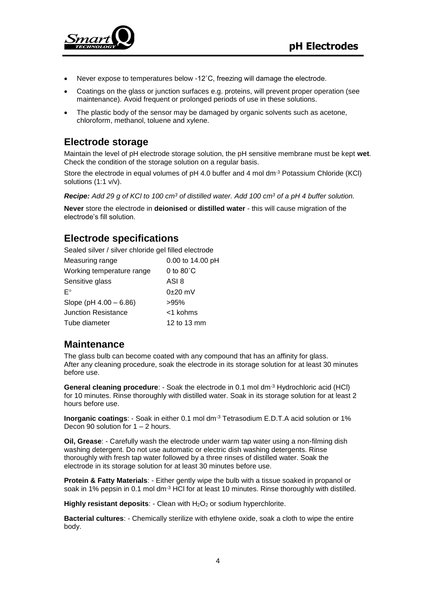

- Never expose to temperatures below -12˚C, freezing will damage the electrode.
- Coatings on the glass or junction surfaces e.g. proteins, will prevent proper operation (see maintenance). Avoid frequent or prolonged periods of use in these solutions.
- The plastic body of the sensor may be damaged by organic solvents such as acetone, chloroform, methanol, toluene and xylene.

#### <span id="page-3-0"></span>**Electrode storage**

Maintain the level of pH electrode storage solution, the pH sensitive membrane must be kept **wet**. Check the condition of the storage solution on a regular basis.

Store the electrode in equal volumes of pH 4.0 buffer and 4 mol dm<sup>-3</sup> Potassium Chloride (KCl) solutions (1:1 v/v).

*Recipe: Add 29 g of KCl to 100 cm<sup>3</sup> of distilled water. Add 100 cm<sup>3</sup> of a pH 4 buffer solution.* 

**Never** store the electrode in **deionised** or **distilled water** - this will cause migration of the electrode's fill solution.

#### <span id="page-3-1"></span>**Electrode specifications**

Sealed silver / silver chloride gel filled electrode

| Measuring range            | 0.00 to 14.00 pH    |  |
|----------------------------|---------------------|--|
| Working temperature range  | 0 to $80^{\circ}$ C |  |
| Sensitive glass            | ASI 8               |  |
| F°                         | $0\pm20$ mV         |  |
| Slope (pH $4.00 - 6.86$ )  | >95%                |  |
| <b>Junction Resistance</b> | <1 kohms            |  |
| Tube diameter              | 12 to 13 mm         |  |

#### <span id="page-3-2"></span>**Maintenance**

The glass bulb can become coated with any compound that has an affinity for glass. After any cleaning procedure, soak the electrode in its storage solution for at least 30 minutes before use.

**General cleaning procedure**: - Soak the electrode in 0.1 mol dm-3 Hydrochloric acid (HCl) for 10 minutes. Rinse thoroughly with distilled water. Soak in its storage solution for at least 2 hours before use.

**Inorganic coatings**: - Soak in either 0.1 mol dm-3 Tetrasodium E.D.T.A acid solution or 1% Decon 90 solution for  $1 - 2$  hours.

**Oil, Grease**: - Carefully wash the electrode under warm tap water using a non-filming dish washing detergent. Do not use automatic or electric dish washing detergents. Rinse thoroughly with fresh tap water followed by a three rinses of distilled water. Soak the electrode in its storage solution for at least 30 minutes before use.

**Protein & Fatty Materials**: - Either gently wipe the bulb with a tissue soaked in propanol or soak in 1% pepsin in 0.1 mol dm<sup>-3</sup> HCl for at least 10 minutes. Rinse thoroughly with distilled.

**Highly resistant deposits: - Clean with H<sub>2</sub>O<sub>2</sub> or sodium hyperchlorite.** 

**Bacterial cultures**: - Chemically sterilize with ethylene oxide, soak a cloth to wipe the entire body.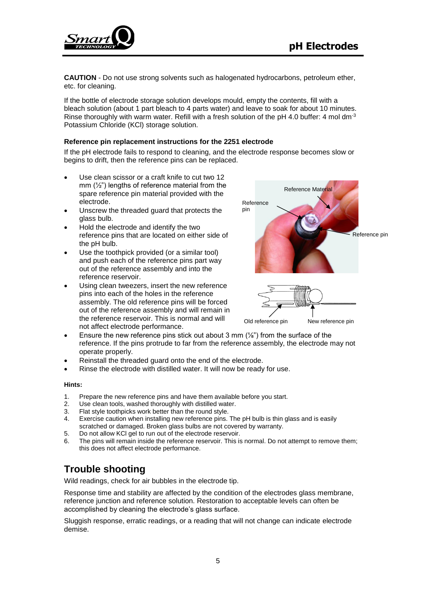

**CAUTION** - Do not use strong solvents such as halogenated hydrocarbons, petroleum ether, etc. for cleaning.

If the bottle of electrode storage solution develops mould, empty the contents, fill with a bleach solution (about 1 part bleach to 4 parts water) and leave to soak for about 10 minutes. Rinse thoroughly with warm water. Refill with a fresh solution of the pH 4.0 buffer: 4 mol dm<sup>-3</sup> Potassium Chloride (KCl) storage solution.

#### **Reference pin replacement instructions for the 2251 electrode**

If the pH electrode fails to respond to cleaning, and the electrode response becomes slow or begins to drift, then the reference pins can be replaced.

- Use clean scissor or a craft knife to cut two 12 mm  $(\frac{1}{2})$  lengths of reference material from the spare reference pin material provided with the electrode.
- Unscrew the threaded guard that protects the glass bulb.
- Hold the electrode and identify the two reference pins that are located on either side of the pH bulb.
- Use the toothpick provided (or a similar tool) and push each of the reference pins part way out of the reference assembly and into the reference reservoir.
- Using clean tweezers, insert the new reference pins into each of the holes in the reference assembly. The old reference pins will be forced out of the reference assembly and will remain in the reference reservoir. This is normal and will not affect electrode performance.



Old reference pin New reference pin

- Ensure the new reference pins stick out about 3 mm (¼") from the surface of the reference. If the pins protrude to far from the reference assembly, the electrode may not operate properly.
- Reinstall the threaded guard onto the end of the electrode.
- Rinse the electrode with distilled water. It will now be ready for use.

#### **Hints:**

- 1. Prepare the new reference pins and have them available before you start.
- 2. Use clean tools, washed thoroughly with distilled water.
- 3. Flat style toothpicks work better than the round style.<br>4. Exercise caution when installing new reference pins
- Exercise caution when installing new reference pins. The pH bulb is thin glass and is easily scratched or damaged. Broken glass bulbs are not covered by warranty.
- 5. Do not allow KCl gel to run out of the electrode reservoir.
- 6. The pins will remain inside the reference reservoir. This is normal. Do not attempt to remove them; this does not affect electrode performance.

#### <span id="page-4-0"></span>**Trouble shooting**

Wild readings, check for air bubbles in the electrode tip.

Response time and stability are affected by the condition of the electrodes glass membrane, reference junction and reference solution. Restoration to acceptable levels can often be accomplished by cleaning the electrode's glass surface.

Sluggish response, erratic readings, or a reading that will not change can indicate electrode demise.